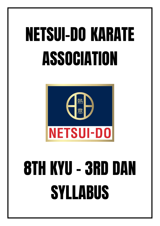

## 8TH KYU - 3RD DAN SYLLABUS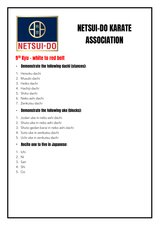

#### 9<sup>TH</sup> Kyu - white to red belt

#### **Demonstrate the following dachi (stances):**  $\blacksquare$

- 1. Heisoku dachi
- 2. Musubi dachi
- 3. Heiko dachi
- 4. Hachiji dachi
- 5. Shiko dachi
- 6. Neko ashi dachi
- 7. Zenkutsu dachi

#### **Demonstrate the following uke (blocks):**  $\blacksquare$

- 1. Jodan uke in neko ashi dachi
- 2. Shuto uke in neko ashi dachi
- 3. Shuto gedan barai in neko ashi dachi
- 4. Soto uke in zenkutsu dachi
- 5. Uchi uke in zenkutsu dachi

#### **Recite one to five in Japanese:**  $\overline{\phantom{0}}$

- 1. Ichi
- 2. Ni
- 3. San
- 4. Shi
- 5. Go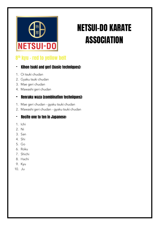

#### 8<sup>th</sup> kyu - red to yellow belt

#### **Kihon tsuki and geri (basic techniques):**  $\overline{\phantom{a}}$

- 1. Oi tsuki chudan
- 2. Gyaku tsuki chudan
- 3. Mae geri chudan
- 4. Mawashi geri chudan

#### **Renraku waza (combination techniques):**  $\blacksquare$

- 1. Mae geri chudan gyaku tsuki chudan
- 2. Mawashi geri chudan gyaku tsuki chudan

#### **Recite one to ten in Japanese:**  $\blacksquare$

- 1. Ichi
- 2. Ni
- 3. San
- 4. Shi
- $5.$  Go
- 6. Roku
- 7. Shichi
- 8. Hachi
- 9. Kyu
- $10.$  Ju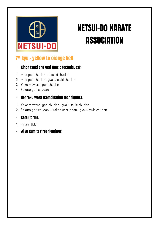

#### 7th kyu - yellow to orange belt

#### - Kihon tsuki and geri (basic techniques):

- 1. Mae geri chudan oi tsuki chudan
- 2. Mae geri chudan gyaku tsuki chudan
- 3. Yoko mawashi geri chudan
- 4. Sokuto geri chudan

#### - Renraku waza (combination techniques):

- 1. Yoko mawashi geri chudan gyaku tsuki chudan
- 2. Sokuto geri chudan uraken uchi jodan gyaku tsuki chudan

- 1. Pinan Nidan
- Ji yu Kumite (free fighting):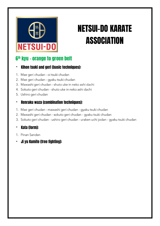# **NETSUI-DO**

## NETSUI-DO KARATE **ASSOCIATION**

#### 6 th kyu – orange to green belt

#### - Kihon tsuki and geri (basic techniques):

- 1. Mae geri chudan oi tsuki chudan
- 2. Mae geri chudan gyaku tsuki chudan
- 3. Mawashi geri chudan shuto uke in neko ashi dachi
- 4. Sokuto geri chudan shuto uke in neko ashi dachi
- 5. Ushiro geri chudan

#### - Renraku waza (combination techniques):

- 1. Mae geri chudan mawashi geri chudan gyaku tsuki chudan
- 2. Mawashi geri chudan sokuto geri chudan gyaku tsuki chudan
- 3. Sokuto geri chudan ushiro geri chudan uraken uchi jodan gyaku tsuki chudan

- 1. Pinan Sandan
- Ji yu Kumite (free fighting):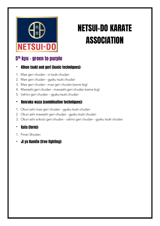

#### 5 th kyu – green to purple

/

#### - Kihon tsuki and geri (basic techniques):

- 1. Mae geri chudan oi tsuki chudan
- 2. Mae geri chudan gyaku tsuki chudan
- 3. Mae geri chudan mae geri chudan (same leg)
- 4. Mawashi geri chudan mawashi geri chudan (same leg)
- 5. Ushiro geri chudan gyaku tsuki chudan

#### - Renraku waza (combination techniques):

- 1. Okuri ashi mae geri chudan gyaku tsuki chudan
- 2. Okuri ashi mawashi geri chudan gyaku tsuki chudan
- 3. Okuri ashi sokuto geri chudan ushiro geri chudan gyaku tsuki chudan

- 1. Pinan Shodan
- Ji yu Kumite (free fighting):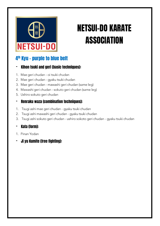# NETSUI-DO

## NETSUI-DO KARATE **ASSOCIATION**

#### 4 th Kyu – purple to blue belt

#### - Kihon tsuki and geri (basic techniques):

- 1. Mae geri chudan oi tsuki chudan
- 2. Mae geri chudan gyaku tsuki chudan
- 3. Mae geri chudan mawashi geri chudan (same leg)
- 4. Mawashi geri chudan sokuto geri chudan (same leg)
- 5. Ushiro sokuto geri chudan

#### - Renraku waza (combination techniques):

- 1. Tsugi ashi mae geri chudan gyaku tsuki chudan
- 2. Tsugi ashi mawashi geri chudan gyaku tsuki chudan
- 3. Tsugi ashi sokuto geri chudan - ushiro sokoto geri chudan - gyaku tsuki chudan

- 1. Pinan Yodan
- Ji yu Kumite (free fighting):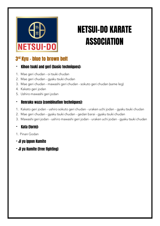

#### 3 rd Kyu – blue to brown belt

#### - Kihon tsuki and geri (basic techniques):

- 1. Mae geri chudan oi tsuki chudan
- 2. Mae geri chudan gyaku tsuki chudan
- 3. Mae geri chudan mawashi geri chudan sokuto geri chudan (same leg)
- 4. Kakato geri jodan
- 5. Ushiro mawashi geri jodan

#### - Renraku waza (combination techniques):

- 1. Kakato geri jodan ushiro sokuto geri chudan uraken uchi jodan gyaku tsuki chudan
- 2. Mae geri chudan gyaku tsuki chudan gedan barai gyaku tsuki chudan
- 3. Mawashi geri jodan ushiro mawashi geri jodan uraken uchi jodan gyaku tsuki chudan

- 1. Pinan Godan
- Ji yu Ippon Kumite
- Ji yu Kumite (free fighting)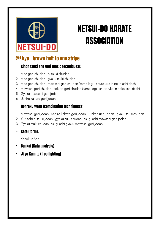## **NETSUI-DO**

## NETSUI-DO KARATE **ASSOCIATION**

#### 2<sup>nd</sup> kyu - brown belt to one stripe

#### - Kihon tsuki and geri (basic techniques):

- 1. Mae geri chudan oi tsuki chudan
- 2. Mae geri chudan gyaku tsuki chudan
- 3. Mae geri chudan mawashi geri chudan (same leg) shuto uke in neko ashi dachi
- 4. Mawashi geri chudan sokuto geri chudan (same leg) shuto uke in neko ashi dachi
- 5. Gyaku mawashi geri jodan
- 6. Ushiro kakato geri jodan

#### - Renraku waza (combination techniques):

- 1. Mawashi geri jodan ushiro kakato geri jodan uraken uchi jodan gyaku tsuki chudan
- 2. Yuri ashi oi tsuki jodan qyaku zuki chudan tsugi ashi mawashi geri jodan
- 3. Gyaku tsuki chudan tsugi ashi gyaku mawashi geri jodan

- 1. Kosokun Sho
- Bunkai (Kata analysis)
- Ji yu Kumite (free fighting)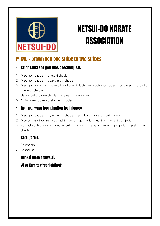

#### 1<sup>st</sup> kyu - brown belt one stripe to two stripes

#### - Kihon tsuki and geri (basic techniques):

- 1. Mae geri chudan oi tsuki chudan
- 2. Mae geri chudan gyaku tsuki chudan
- 3. Mae geri jodan shuto uke in neko ashi dachi mawashi geri jodan (front leg) shuto uke in neko ashi dachi
- 4. Ushiro sokuto geri chudan mawashi geri jodan
- 5. Nidan geri jodan uraken uchi jodan

#### - Renraku waza (combination techniques):

- 1. Mae geri chudan gyaku tsuki chudan ashi barai gyaku tsuki chudan
- 2. Mawashi geri jodan tsugi ashi mawashi geri jodan ushiro mawashi geri jodan
- 3. Yuri ashi oi tsuki jodan qyaku tsuki chudan tsugi ashi mawashi geri jodan qyaku tsuki chudan

- 1. Seienchin
- 2. Bassai Dai
- Bunkai (Kata analysis):
- Ji yu Kumite (free fighting):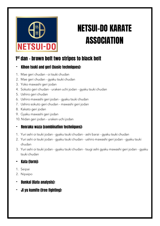

#### 1<sup>st</sup> dan - brown belt two stripes to black belt

#### - Kihon tsuki and geri (basic techniques):

- 1. Mae geri chudan oi tsuki chudan
- 2. Mae geri chudan gyaku tsuki chudan
- 3. Yoko mawashi geri jodan
- 4. Sokuto geri chudan uraken uchi jodan gyaku tsuki chudan
- 5. Ushiro geri chudan
- 6. Ushiro mawashi geri jodan gyaku tsuki chudan
- 7. Ushiro sokuto geri chudan mawashi geri jodan
- 8. Kakato geri jodan
- 9. Gyaku mawashi geri jodan
- 10. Nidan geri jodan uraken uchi jodan

#### - Renraku waza (combination techniques):

- 1. Yuri ashi oi tsuki jodan gyaku tsuki chudan ashi barai gyaku tsuki chudan
- 2. Yuri ashi oi tsuki jodan gyaku tsuki chudan ushiro mawashi geri jodan gyaku tsuki chudan
- 3. Yuri ashi oi tsuki jodan gyaku tsuki chudan tsugi ashi gyaku mawashi geri jodan gyaku tsuki chudan

- 1. Seipai
- 2. Nipaipo
- Bunkai (Kata analysis):
- Ji yu kumite (free fighting):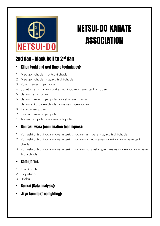

#### 2nd dan - black belt to 2<sup>nd</sup> dan

#### - Kihon tsuki and geri (basic techniques):

- 1. Mae geri chudan oi tsuki chudan
- 2. Mae geri chudan gyaku tsuki chudan
- 3. Yoko mawashi geri jodan
- 4. Sokuto geri chudan uraken uchi jodan gyaku tsuki chudan
- 5. Ushiro geri chudan
- 6. Ushiro mawashi geri jodan gyaku tsuki chudan
- 7. Ushiro sokuto geri chudan mawashi geri jodan
- 8. Kakato geri jodan
- 9. Gyaku mawashi geri jodan
- 10. Nidan geri jodan uraken uchi jodan

#### - Renraku waza (combination techniques):

- 1. Yuri ashi oi tsuki jodan gyaku tsuki chudan ashi barai gyaku tsuki chudan
- 2. Yuri ashi oi tsuki jodan gyaku tsuki chudan ushiro mawashi geri jodan gyaku tsuki chudan
- 3. Yuri ashi oi tsuki jodan gyaku tsuki chudan tsugi ashi gyaku mawashi geri jodan gyaku tsuki chudan

- 1. Kosokun dai
- 2. Gojushiho
- 3. Unshu
- Bunkai (Kata analysis):
- Ji yu kumite (free fighting):